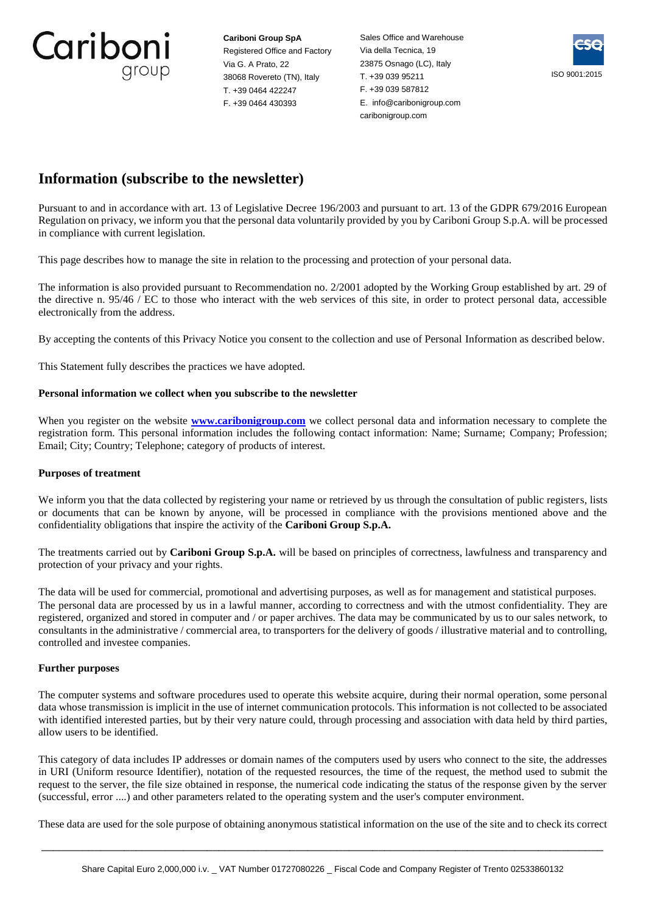Cariboni group

**Cariboni Group SpA** Registered Office and Factory Via G. A Prato, 22 38068 Rovereto (TN), Italy T. +39 0464 422247 F. +39 0464 430393

Sales Office and Warehouse Via della Tecnica, 19 23875 Osnago (LC), Italy T. +39 039 95211 F. +39 039 587812 E. info@caribonigroup.com caribonigroup.com



# **Information (subscribe to the newsletter)**

Pursuant to and in accordance with art. 13 of Legislative Decree 196/2003 and pursuant to art. 13 of the GDPR 679/2016 European Regulation on privacy, we inform you that the personal data voluntarily provided by you by Cariboni Group S.p.A. will be processed in compliance with current legislation.

This page describes how to manage the site in relation to the processing and protection of your personal data.

The information is also provided pursuant to Recommendation no. 2/2001 adopted by the Working Group established by art. 29 of the directive n. 95/46 / EC to those who interact with the web services of this site, in order to protect personal data, accessible electronically from the address.

By accepting the contents of this Privacy Notice you consent to the collection and use of Personal Information as described below.

This Statement fully describes the practices we have adopted.

## **Personal information we collect when you subscribe to the newsletter**

When you register on the website **[www.caribonigroup.com](https://www.caribonigroup.com/en/)** we collect personal data and information necessary to complete the registration form. This personal information includes the following contact information: Name; Surname; Company; Profession; Email; City; Country; Telephone; category of products of interest.

## **Purposes of treatment**

We inform you that the data collected by registering your name or retrieved by us through the consultation of public registers, lists or documents that can be known by anyone, will be processed in compliance with the provisions mentioned above and the confidentiality obligations that inspire the activity of the **Cariboni Group S.p.A.**

The treatments carried out by **Cariboni Group S.p.A.** will be based on principles of correctness, lawfulness and transparency and protection of your privacy and your rights.

The data will be used for commercial, promotional and advertising purposes, as well as for management and statistical purposes. The personal data are processed by us in a lawful manner, according to correctness and with the utmost confidentiality. They are registered, organized and stored in computer and / or paper archives. The data may be communicated by us to our sales network, to consultants in the administrative / commercial area, to transporters for the delivery of goods / illustrative material and to controlling, controlled and investee companies.

## **Further purposes**

The computer systems and software procedures used to operate this website acquire, during their normal operation, some personal data whose transmission is implicit in the use of internet communication protocols. This information is not collected to be associated with identified interested parties, but by their very nature could, through processing and association with data held by third parties, allow users to be identified.

This category of data includes IP addresses or domain names of the computers used by users who connect to the site, the addresses in URI (Uniform resource Identifier), notation of the requested resources, the time of the request, the method used to submit the request to the server, the file size obtained in response, the numerical code indicating the status of the response given by the server (successful, error ....) and other parameters related to the operating system and the user's computer environment.

These data are used for the sole purpose of obtaining anonymous statistical information on the use of the site and to check its correct

 $\_$  ,  $\_$  ,  $\_$  ,  $\_$  ,  $\_$  ,  $\_$  ,  $\_$  ,  $\_$  ,  $\_$  ,  $\_$  ,  $\_$  ,  $\_$  ,  $\_$  ,  $\_$  ,  $\_$  ,  $\_$  ,  $\_$  ,  $\_$  ,  $\_$  ,  $\_$  ,  $\_$  ,  $\_$  ,  $\_$  ,  $\_$  ,  $\_$  ,  $\_$  ,  $\_$  ,  $\_$  ,  $\_$  ,  $\_$  ,  $\_$  ,  $\_$  ,  $\_$  ,  $\_$  ,  $\_$  ,  $\_$  ,  $\_$  ,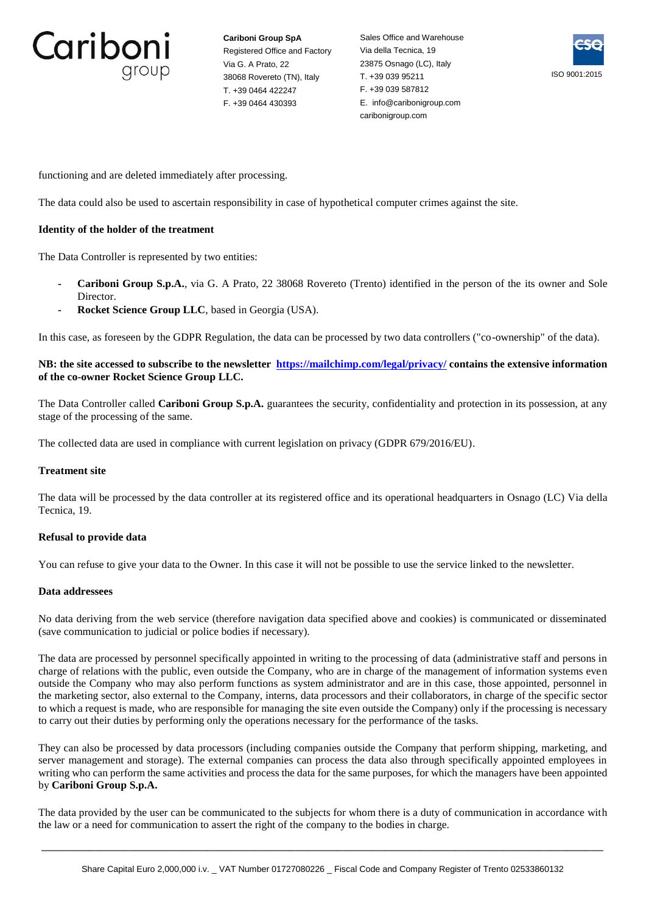

**Cariboni Group SpA** Registered Office and Factory Via G. A Prato, 22 38068 Rovereto (TN), Italy T. +39 0464 422247 F. +39 0464 430393

Sales Office and Warehouse Via della Tecnica, 19 23875 Osnago (LC), Italy T. +39 039 95211 F. +39 039 587812 E. info@caribonigroup.com caribonigroup.com



functioning and are deleted immediately after processing.

The data could also be used to ascertain responsibility in case of hypothetical computer crimes against the site.

## **Identity of the holder of the treatment**

The Data Controller is represented by two entities:

- **- Cariboni Group S.p.A.**, via G. A Prato, 22 38068 Rovereto (Trento) identified in the person of the its owner and Sole Director.
- **- Rocket Science Group LLC**, based in Georgia (USA).

In this case, as foreseen by the GDPR Regulation, the data can be processed by two data controllers ("co-ownership" of the data).

## **NB: the site accessed to subscribe to the newsletter<https://mailchimp.com/legal/privacy/> contains the extensive information of the co-owner Rocket Science Group LLC.**

The Data Controller called **Cariboni Group S.p.A.** guarantees the security, confidentiality and protection in its possession, at any stage of the processing of the same.

The collected data are used in compliance with current legislation on privacy (GDPR 679/2016/EU).

#### **Treatment site**

The data will be processed by the data controller at its registered office and its operational headquarters in Osnago (LC) Via della Tecnica, 19.

## **Refusal to provide data**

You can refuse to give your data to the Owner. In this case it will not be possible to use the service linked to the newsletter.

## **Data addressees**

No data deriving from the web service (therefore navigation data specified above and cookies) is communicated or disseminated (save communication to judicial or police bodies if necessary).

The data are processed by personnel specifically appointed in writing to the processing of data (administrative staff and persons in charge of relations with the public, even outside the Company, who are in charge of the management of information systems even outside the Company who may also perform functions as system administrator and are in this case, those appointed, personnel in the marketing sector, also external to the Company, interns, data processors and their collaborators, in charge of the specific sector to which a request is made, who are responsible for managing the site even outside the Company) only if the processing is necessary to carry out their duties by performing only the operations necessary for the performance of the tasks.

They can also be processed by data processors (including companies outside the Company that perform shipping, marketing, and server management and storage). The external companies can process the data also through specifically appointed employees in writing who can perform the same activities and process the data for the same purposes, for which the managers have been appointed by **Cariboni Group S.p.A.**

The data provided by the user can be communicated to the subjects for whom there is a duty of communication in accordance with the law or a need for communication to assert the right of the company to the bodies in charge.

 $\_$  ,  $\_$  ,  $\_$  ,  $\_$  ,  $\_$  ,  $\_$  ,  $\_$  ,  $\_$  ,  $\_$  ,  $\_$  ,  $\_$  ,  $\_$  ,  $\_$  ,  $\_$  ,  $\_$  ,  $\_$  ,  $\_$  ,  $\_$  ,  $\_$  ,  $\_$  ,  $\_$  ,  $\_$  ,  $\_$  ,  $\_$  ,  $\_$  ,  $\_$  ,  $\_$  ,  $\_$  ,  $\_$  ,  $\_$  ,  $\_$  ,  $\_$  ,  $\_$  ,  $\_$  ,  $\_$  ,  $\_$  ,  $\_$  ,